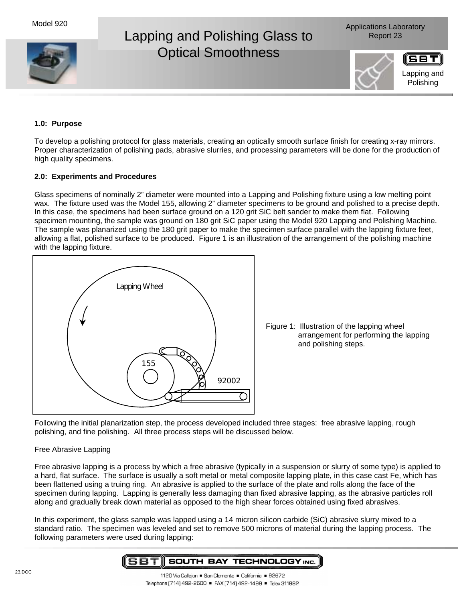

# **1.0: Purpose**

To develop a polishing protocol for glass materials, creating an optically smooth surface finish for creating x-ray mirrors. Proper characterization of polishing pads, abrasive slurries, and processing parameters will be done for the production of high quality specimens.

## **2.0: Experiments and Procedures**

Glass specimens of nominally 2" diameter were mounted into a Lapping and Polishing fixture using a low melting point wax. The fixture used was the Model 155, allowing 2" diameter specimens to be ground and polished to a precise depth. In this case, the specimens had been surface ground on a 120 grit SiC belt sander to make them flat. Following specimen mounting, the sample was ground on 180 grit SiC paper using the Model 920 Lapping and Polishing Machine. The sample was planarized using the 180 grit paper to make the specimen surface parallel with the lapping fixture feet, allowing a flat, polished surface to be produced. Figure 1 is an illustration of the arrangement of the polishing machine with the lapping fixture.



Figure 1: Illustration of the lapping wheel arrangement for performing the lapping and polishing steps.

Following the initial planarization step, the process developed included three stages: free abrasive lapping, rough polishing, and fine polishing. All three process steps will be discussed below.

#### Free Abrasive Lapping

Free abrasive lapping is a process by which a free abrasive (typically in a suspension or slurry of some type) is applied to a hard, flat surface. The surface is usually a soft metal or metal composite lapping plate, in this case cast Fe, which has been flattened using a truing ring. An abrasive is applied to the surface of the plate and rolls along the face of the specimen during lapping. Lapping is generally less damaging than fixed abrasive lapping, as the abrasive particles roll along and gradually break down material as opposed to the high shear forces obtained using fixed abrasives.

In this experiment, the glass sample was lapped using a 14 micron silicon carbide (SiC) abrasive slurry mixed to a standard ratio. The specimen was leveled and set to remove 500 microns of material during the lapping process. The following parameters were used during lapping: